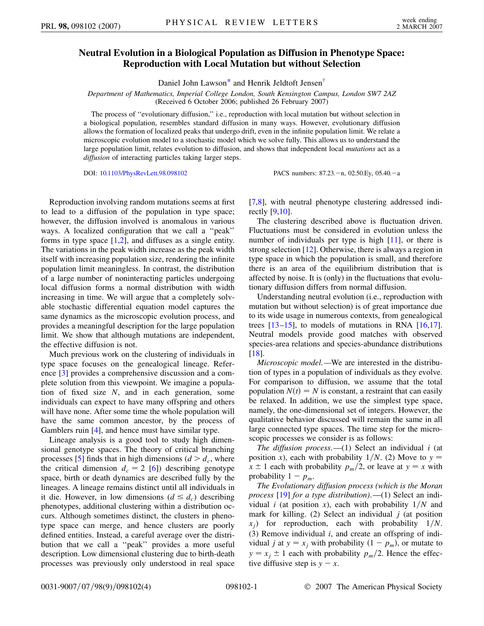## <span id="page-0-0"></span>**Neutral Evolution in a Biological Population as Diffusion in Phenotype Space: Reproduction with Local Mutation but without Selection**

Daniel John Lawson<sup>\*</sup> and Henrik Jeldtoft Jensen<sup>[†](#page-3-1)</sup>

*Department of Mathematics, Imperial College London, South Kensington Campus, London SW7 2AZ* (Received 6 October 2006; published 26 February 2007)

The process of ''evolutionary diffusion,'' i.e., reproduction with local mutation but without selection in a biological population, resembles standard diffusion in many ways. However, evolutionary diffusion allows the formation of localized peaks that undergo drift, even in the infinite population limit. We relate a microscopic evolution model to a stochastic model which we solve fully. This allows us to understand the large population limit, relates evolution to diffusion, and shows that independent local *mutations* act as a *diffusion* of interacting particles taking larger steps.

DOI: [10.1103/PhysRevLett.98.098102](http://dx.doi.org/10.1103/PhysRevLett.98.098102) PACS numbers: 87.23. - n, 02.50.Ey, 05.40. - a

Reproduction involving random mutations seems at first to lead to a diffusion of the population in type space; however, the diffusion involved is anomalous in various ways. A localized configuration that we call a ''peak'' forms in type space [[1](#page-3-2),[2\]](#page-3-3), and diffuses as a single entity. The variations in the peak width increase as the peak width itself with increasing population size, rendering the infinite population limit meaningless. In contrast, the distribution of a large number of noninteracting particles undergoing local diffusion forms a normal distribution with width increasing in time. We will argue that a completely solvable stochastic differential equation model captures the same dynamics as the microscopic evolution process, and provides a meaningful description for the large population limit. We show that although mutations are independent, the effective diffusion is not.

Much previous work on the clustering of individuals in type space focuses on the genealogical lineage. Reference [[3](#page-3-4)] provides a comprehensive discussion and a complete solution from this viewpoint. We imagine a population of fixed size *N*, and in each generation, some individuals can expect to have many offspring and others will have none. After some time the whole population will have the same common ancestor, by the process of Gamblers ruin [\[4](#page-3-5)], and hence must have similar type.

Lineage analysis is a good tool to study high dimensional genotype spaces. The theory of critical branching processes [\[5](#page-3-6)] finds that in high dimensions  $(d > d_c)$ , where the critical dimension  $d_c = 2$  [\[6](#page-3-7)]) describing genotype space, birth or death dynamics are described fully by the lineages. A lineage remains distinct until all individuals in it die. However, in low dimensions  $(d \leq d_c)$  describing phenotypes, additional clustering within a distribution occurs. Although sometimes distinct, the clusters in phenotype space can merge, and hence clusters are poorly defined entities. Instead, a careful average over the distribution that we call a ''peak'' provides a more useful description. Low dimensional clustering due to birth-death processes was previously only understood in real space [\[7,](#page-3-8)[8](#page-3-9)], with neutral phenotype clustering addressed indirectly [\[9,](#page-3-10)[10\]](#page-3-11).

The clustering described above is fluctuation driven. Fluctuations must be considered in evolution unless the number of individuals per type is high [[11\]](#page-3-12), or there is strong selection [\[12\]](#page-3-13). Otherwise, there is always a region in type space in which the population is small, and therefore there is an area of the equilibrium distribution that is affected by noise. It is (only) in the fluctuations that evolutionary diffusion differs from normal diffusion.

Understanding neutral evolution (i.e., reproduction with mutation but without selection) is of great importance due to its wide usage in numerous contexts, from genealogical trees  $[13-15]$  $[13-15]$  $[13-15]$ , to models of mutations in RNA  $[16,17]$  $[16,17]$ . Neutral models provide good matches with observed species-area relations and species-abundance distributions [\[18\]](#page-3-18).

*Microscopic model.—*We are interested in the distribution of types in a population of individuals as they evolve. For comparison to diffusion, we assume that the total population  $N(t) = N$  is constant, a restraint that can easily be relaxed. In addition, we use the simplest type space, namely, the one-dimensional set of integers. However, the qualitative behavior discussed will remain the same in all large connected type spaces. The time step for the microscopic processes we consider is as follows:

*The diffusion process*.—(1) Select an individual *i* (at position *x*), each with probability  $1/N$ . (2) Move to  $y =$  $x \pm 1$  each with probability  $p_m/2$ , or leave at  $y = x$  with probability  $1 - p_m$ .

*The Evolutionary diffusion process (which is the Moran process* [\[19\]](#page-3-19) *for a type distribution)*.—(1) Select an individual *i* (at position *x*), each with probability  $1/N$  and mark for killing. (2) Select an individual *j* (at position  $x_i$ ) for reproduction, each with probability  $1/N$ . (3) Remove individual *i*, and create an offspring of individual *j* at  $y = x_j$  with probability  $(1 - p_m)$ , or mutate to  $y = x_j \pm 1$  each with probability  $p_m/2$ . Hence the effective diffusive step is  $y - x$ .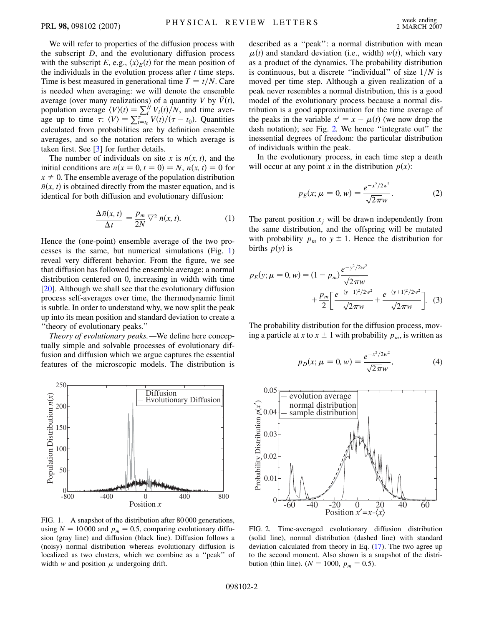We will refer to properties of the diffusion process with the subscript *D*, and the evolutionary diffusion process with the subscript *E*, e.g.,  $\langle x \rangle_E(t)$  for the mean position of the individuals in the evolution process after *t* time steps. Time is best measured in generational time  $T = t/N$ . Care is needed when averaging: we will denote the ensemble average (over many realizations) of a quantity *V* by  $\bar{V}(t)$ , population average  $\langle V \rangle(t) = \sum_{i}^{N} V_i(t)/N$ , and time average up to time  $\tau: \langle V \rangle = \sum_{t=t_0}^{\tau} V(t) / (\tau - t_0)$ . Quantities calculated from probabilities are by definition ensemble averages, and so the notation refers to which average is taken first. See [\[3](#page-3-4)] for further details.

The number of individuals on site x is  $n(x, t)$ , and the initial conditions are  $n(x = 0, t = 0) = N$ ,  $n(x, t) = 0$  for  $x \neq 0$ . The ensemble average of the population distribution  $\bar{n}(x, t)$  is obtained directly from the master equation, and is identical for both diffusion and evolutionary diffusion:

$$
\frac{\Delta \bar{n}(x,t)}{\Delta t} = \frac{p_m}{2N} \nabla^2 \bar{n}(x,t). \tag{1}
$$

Hence the (one-point) ensemble average of the two processes is the same, but numerical simulations (Fig. [1\)](#page-1-0) reveal very different behavior. From the figure, we see that diffusion has followed the ensemble average: a normal distribution centered on 0, increasing in width with time [\[20\]](#page-3-20). Although we shall see that the evolutionary diffusion process self-averages over time, the thermodynamic limit is subtle. In order to understand why, we now split the peak up into its mean position and standard deviation to create a ''theory of evolutionary peaks.''

*Theory of evolutionary peaks.—*We define here conceptually simple and solvable processes of evolutionary diffusion and diffusion which we argue captures the essential features of the microscopic models. The distribution is

<span id="page-1-0"></span>

FIG. 1. A snapshot of the distribution after 80 000 generations, using  $N = 10000$  and  $p_m = 0.5$ , comparing evolutionary diffusion (gray line) and diffusion (black line). Diffusion follows a (noisy) normal distribution whereas evolutionary diffusion is localized as two clusters, which we combine as a ''peak'' of width  $w$  and position  $\mu$  undergoing drift.

described as a ''peak'': a normal distribution with mean  $\mu(t)$  and standard deviation (i.e., width) *w*(*t*), which vary as a product of the dynamics. The probability distribution is continuous, but a discrete "individual" of size  $1/N$  is moved per time step. Although a given realization of a peak never resembles a normal distribution, this is a good model of the evolutionary process because a normal distribution is a good approximation for the time average of the peaks in the variable  $x' = x - \mu(t)$  (we now drop the dash notation); see Fig. [2.](#page-1-1) We hence "integrate out" the inessential degrees of freedom: the particular distribution of individuals within the peak.

In the evolutionary process, in each time step a death will occur at any point *x* in the distribution  $p(x)$ :

$$
p_E(x; \mu = 0, w) = \frac{e^{-x^2/2w^2}}{\sqrt{2\pi}w}.
$$
 (2)

The parent position  $x_j$  will be drawn independently from the same distribution, and the offspring will be mutated with probability  $p_m$  to  $y \pm 1$ . Hence the distribution for births  $p(y)$  is

$$
p_E(y; \mu = 0, w) = (1 - p_m) \frac{e^{-y^2/2w^2}}{\sqrt{2\pi}w} + \frac{p_m}{2} \left[ \frac{e^{-(y-1)^2/2w^2}}{\sqrt{2\pi}w} + \frac{e^{-(y+1)^2/2w^2}}{\sqrt{2\pi}w} \right].
$$
 (3)

The probability distribution for the diffusion process, moving a particle at *x* to  $x \pm 1$  with probability  $p_m$ , is written as

$$
p_D(x; \mu = 0, w) = \frac{e^{-x^2/2w^2}}{\sqrt{2\pi}w},
$$
 (4)

<span id="page-1-1"></span>

FIG. 2. Time-averaged evolutionary diffusion distribution (solid line), normal distribution (dashed line) with standard deviation calculated from theory in Eq. ([17](#page-2-0)). The two agree up to the second moment. Also shown is a snapshot of the distribution (thin line).  $(N = 1000, p_m = 0.5)$ .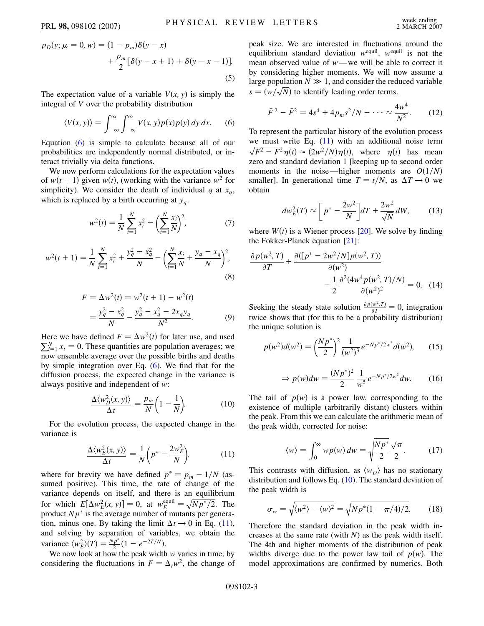$$
p_D(y; \mu = 0, w) = (1 - p_m)\delta(y - x) + \frac{p_m}{2} [\delta(y - x + 1) + \delta(y - x - 1)].
$$
\n(5)

<span id="page-2-1"></span>The expectation value of a variable  $V(x, y)$  is simply the integral of *V* over the probability distribution

$$
\langle V(x, y) \rangle = \int_{-\infty}^{\infty} \int_{-\infty}^{\infty} V(x, y) p(x) p(y) \, dy \, dx. \tag{6}
$$

Equation ([6\)](#page-2-1) is simple to calculate because all of our probabilities are independently normal distributed, or interact trivially via delta functions.

We now perform calculations for the expectation values of  $w(t + 1)$  given  $w(t)$ , (working with the variance  $w<sup>2</sup>$  for simplicity). We consider the death of individual  $q$  at  $x_q$ , which is replaced by a birth occurring at  $y_q$ .

$$
w^{2}(t) = \frac{1}{N} \sum_{i=1}^{N} x_{i}^{2} - \left(\sum_{i=1}^{N} \frac{x_{i}}{N}\right)^{2},
$$
 (7)

$$
w^{2}(t+1) = \frac{1}{N} \sum_{i=1}^{N} x_{i}^{2} + \frac{y_{q}^{2} - x_{q}^{2}}{N} - \left(\sum_{i=1}^{N} \frac{x_{i}}{N} + \frac{y_{q} - x_{q}}{N}\right)^{2},
$$
\n(8)

$$
F = \Delta w^{2}(t) = w^{2}(t+1) - w^{2}(t)
$$
  
= 
$$
\frac{y_{q}^{2} - x_{q}^{2}}{N} - \frac{y_{q}^{2} + x_{q}^{2} - 2x_{q}y_{q}}{N^{2}}.
$$
 (9)

Here we have defined  $F = \Delta w^2(t)$  for later use, and used  $\sum_{i=1}^{N} x_i = 0$ . These quantities are population averages; we now ensemble average over the possible births and deaths by simple integration over Eq. [\(6\)](#page-2-1). We find that for the diffusion process, the expected change in the variance is always positive and independent of *w*:

$$
\frac{\Delta \langle w_D^2(x, y) \rangle}{\Delta t} = \frac{p_m}{N} \left( 1 - \frac{1}{N} \right). \tag{10}
$$

<span id="page-2-3"></span><span id="page-2-2"></span>For the evolution process, the expected change in the variance is

$$
\frac{\Delta \langle w_E^2(x, y) \rangle}{\Delta t} = \frac{1}{N} \left( p^* - \frac{2w_E^2}{N} \right),\tag{11}
$$

where for brevity we have defined  $p^* = p_m - 1/N$  (assumed positive). This time, the rate of change of the variance depends on itself, and there is an equilibrium for which  $E[\Delta w_E^2(x, y)] = 0$ , at  $w_E^{\text{equil}} = \sqrt{Np^*/2}$ . The product  $Np^*$  is the average number of mutants per generation, minus one. By taking the limit  $\Delta t \rightarrow 0$  in Eq. [\(11\)](#page-2-2), and solving by separation of variables, we obtain the variance  $\langle w_{E}^{2} \rangle(T) = \frac{N p^{*}}{2} (1 - e^{-2T/N}).$ 

We now look at how the peak width *w* varies in time, by considering the fluctuations in  $F = \Delta_i w^2$ , the change of peak size. We are interested in fluctuations around the equilibrium standard deviation  $w^{\text{equil}}$ .  $w^{\text{equil}}$  is not the mean observed value of *w*—we will be able to correct it by considering higher moments. We will now assume a large population  $N \gg 1$ , and consider the reduced variable Figure population  $N \gg 1$ , and consider the red  $s = (w/\sqrt{N})$  to identify leading order terms.

$$
\bar{F}^2 - \bar{F}^2 = 4s^4 + 4p_m s^2 / N + \dots \approx \frac{4w^4}{N^2}.
$$
 (12)

To represent the particular history of the evolution process we must write Eq.  $(11)$  $(11)$  $(11)$  with an additional noise term  $\sqrt{\bar{F}^2 - \bar{F}^2} \eta(t) \approx (2w^2/N)\eta(t)$ , where  $\eta(t)$  has mean zero and standard deviation 1 [keeping up to second order moments in the noise—higher moments are  $O(1/N)$ smaller]. In generational time  $T = t/N$ , as  $\Delta T \rightarrow 0$  we obtain

<span id="page-2-4"></span>
$$
dw_E^2(T) \approx \left[ p^* - \frac{2w^2}{N} \right] dT + \frac{2w^2}{\sqrt{N}} dW, \qquad (13)
$$

where  $W(t)$  is a Wiener process [[20](#page-3-20)]. We solve by finding the Fokker-Planck equation [[21](#page-3-21)]:

$$
\frac{\partial p(w^2, T)}{\partial T} + \frac{\partial([p^* - 2w^2/N]p(w^2, T))}{\partial(w^2)} - \frac{1}{2} \frac{\partial^2 (4w^4 p(w^2, T)/N)}{\partial(w^2)^2} = 0.
$$
 (14)

Seeking the steady state solution  $\frac{\partial p(w^2, T)}{\partial T} = 0$ , integration twice shows that (for this to be a probability distribution) the unique solution is

<span id="page-2-5"></span>
$$
p(w^2)d(w^2) = \left(\frac{Np^*}{2}\right)^2 \frac{1}{(w^2)^3} e^{-Np^*/2w^2} d(w^2),\qquad(15)
$$

$$
\Rightarrow p(w)dw = \frac{(Np^*)^2}{2} \frac{1}{w^5} e^{-Np^*/2w^2} dw.
$$
 (16)

<span id="page-2-0"></span>The tail of  $p(w)$  is a power law, corresponding to the existence of multiple (arbitrarily distant) clusters within the peak. From this we can calculate the arithmetic mean of the peak width, corrected for noise:

$$
\langle w \rangle = \int_0^\infty w p(w) \, dw = \sqrt{\frac{N p^*}{2} \frac{\sqrt{\pi}}{2}}. \tag{17}
$$

This contrasts with diffusion, as  $\langle w_D \rangle$  has no stationary distribution and follows Eq. ([10](#page-2-3)). The standard deviation of the peak width is

$$
\sigma_w = \sqrt{\langle w^2 \rangle - \langle w \rangle^2} = \sqrt{Np^*(1 - \pi/4)/2}.
$$
 (18)

Therefore the standard deviation in the peak width increases at the same rate (with *N*) as the peak width itself. The 4th and higher moments of the distribution of peak widths diverge due to the power law tail of  $p(w)$ . The model approximations are confirmed by numerics. Both